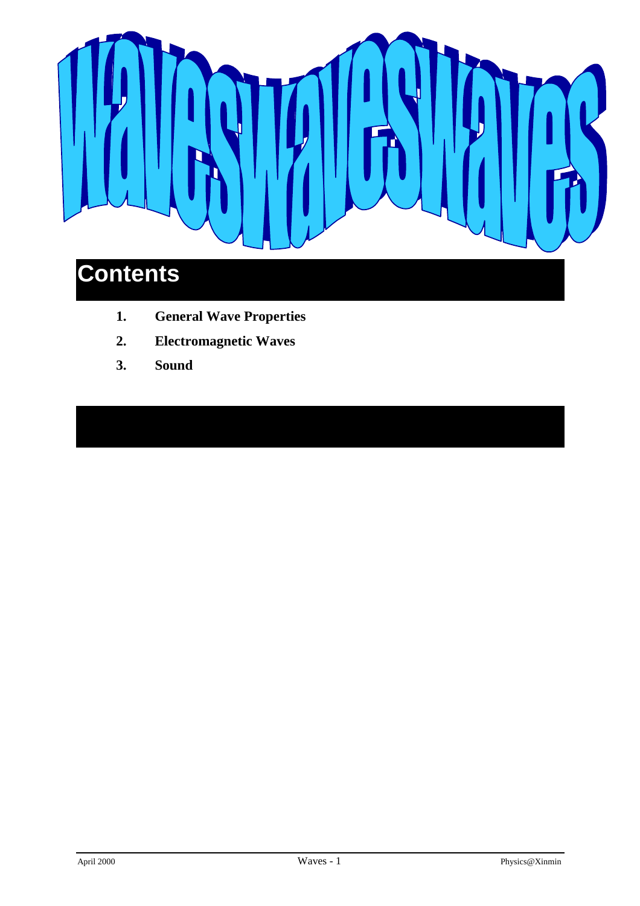

## **1. General Wave Properties**

- **2. Electromagnetic Waves**
- **3. Sound**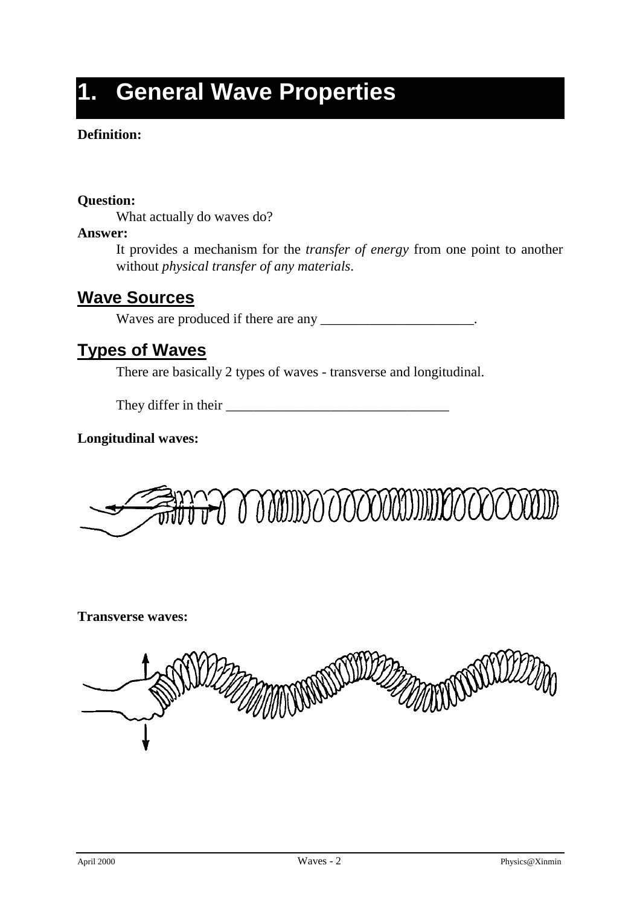# **1. General Wave Properties**

### **Definition:**

**Question:**

What actually do waves do?

### **Answer:**

It provides a mechanism for the *transfer of energy* from one point to another without *physical transfer of any materials*.

### **Wave Sources**

Waves are produced if there are any \_\_\_\_\_\_\_\_\_\_\_\_\_\_\_\_\_\_\_\_\_\_.

### **Types of Waves**

There are basically 2 types of waves - transverse and longitudinal.

They differ in their \_\_\_\_\_\_\_\_\_\_\_\_\_\_\_\_\_\_\_\_\_\_\_\_\_\_\_\_\_\_\_\_

**Longitudinal waves:**



**Transverse waves:**

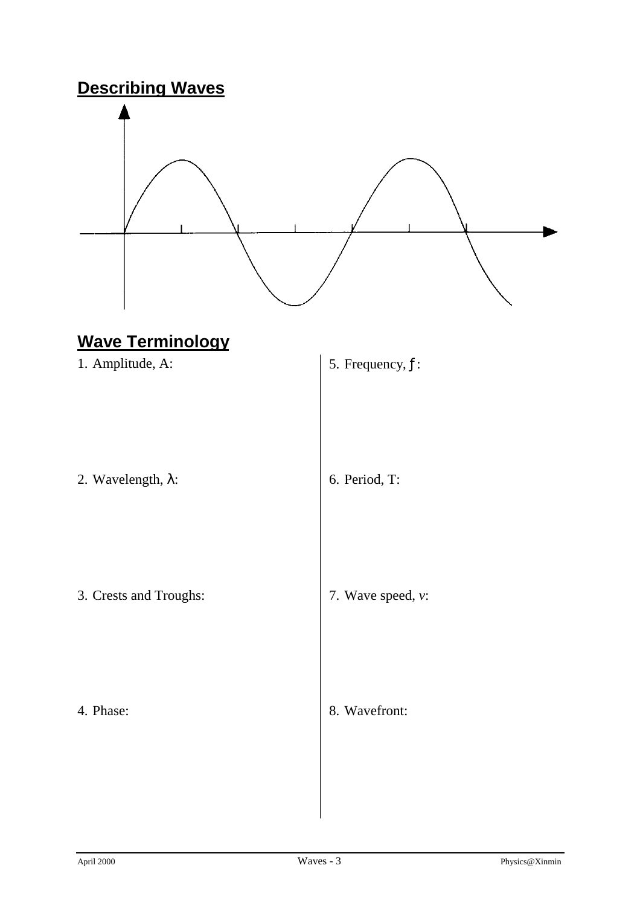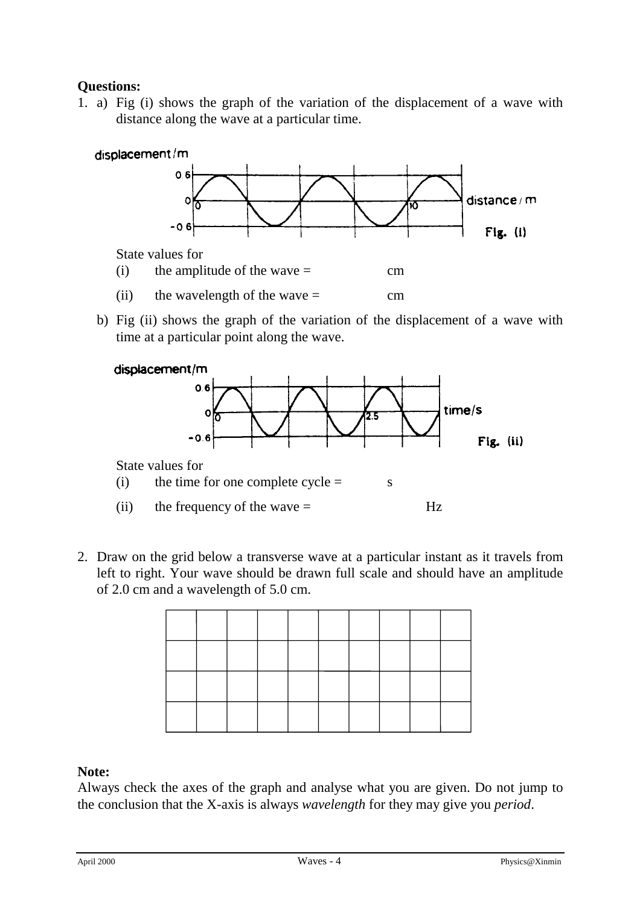### **Questions:**

1. a) Fig (i) shows the graph of the variation of the displacement of a wave with distance along the wave at a particular time.



b) Fig (ii) shows the graph of the variation of the displacement of a wave with time at a particular point along the wave.





State values for

- (i) the time for one complete  $cycle =$  s
- (ii) the frequency of the wave  $=$  Hz
- 2. Draw on the grid below a transverse wave at a particular instant as it travels from left to right. Your wave should be drawn full scale and should have an amplitude of 2.0 cm and a wavelength of 5.0 cm.

### **Note:**

Always check the axes of the graph and analyse what you are given. Do not jump to the conclusion that the X-axis is always *wavelength* for they may give you *period*.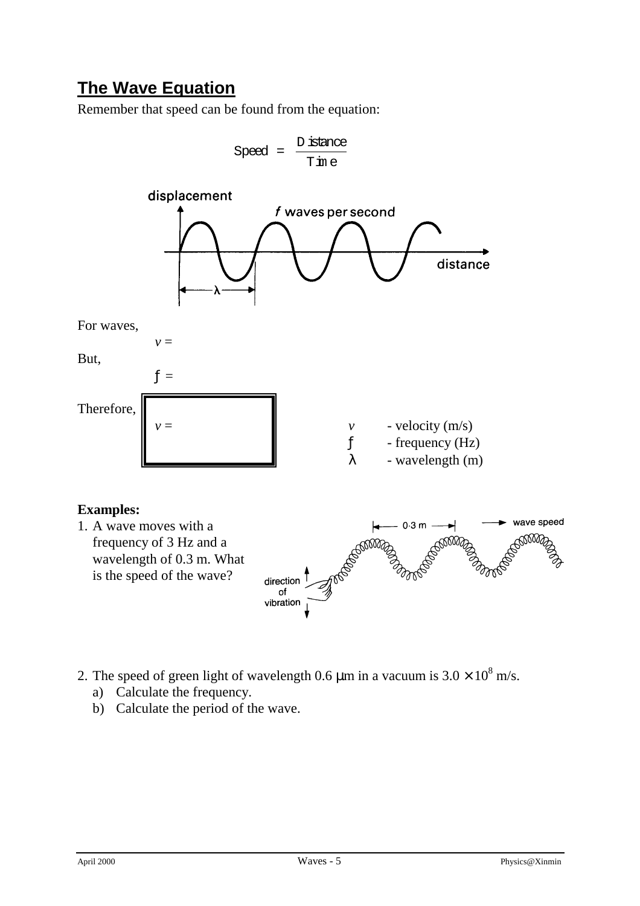## **The Wave Equation**

Remember that speed can be found from the equation:



- 2. The speed of green light of wavelength 0.6  $\mu$ m in a vacuum is 3.0  $\times$  10<sup>8</sup> m/s.
	- a) Calculate the frequency.
	- b) Calculate the period of the wave.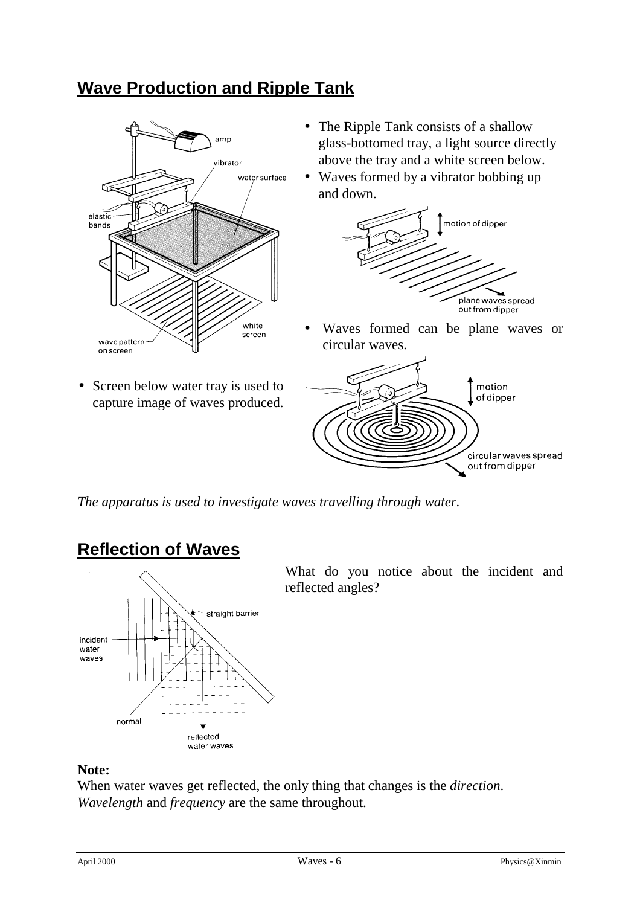## **Wave Production and Ripple Tank**



- The Ripple Tank consists of a shallow glass-bottomed tray, a light source directly above the tray and a white screen below.
- Waves formed by a vibrator bobbing up and down.



- Waves formed can be plane waves or circular waves.
- Screen below water tray is used to capture image of waves produced.



*The apparatus is used to investigate waves travelling through water.*

## **Reflection of Waves**



What do you notice about the incident and reflected angles?

### **Note:**

When water waves get reflected, the only thing that changes is the *direction*. *Wavelength* and *frequency* are the same throughout.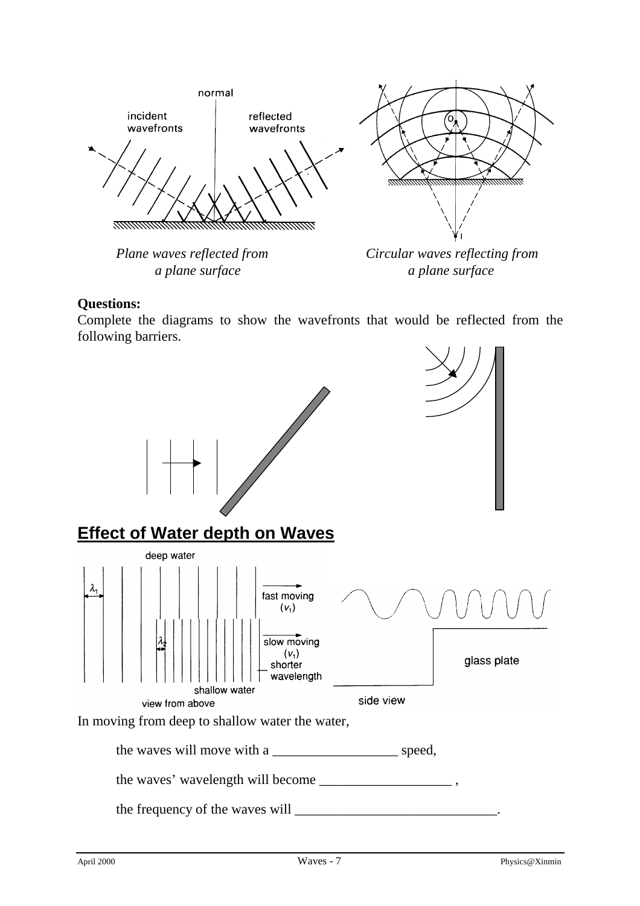

#### **Questions:**

Complete the diagrams to show the wavefronts that would be reflected from the following barriers.

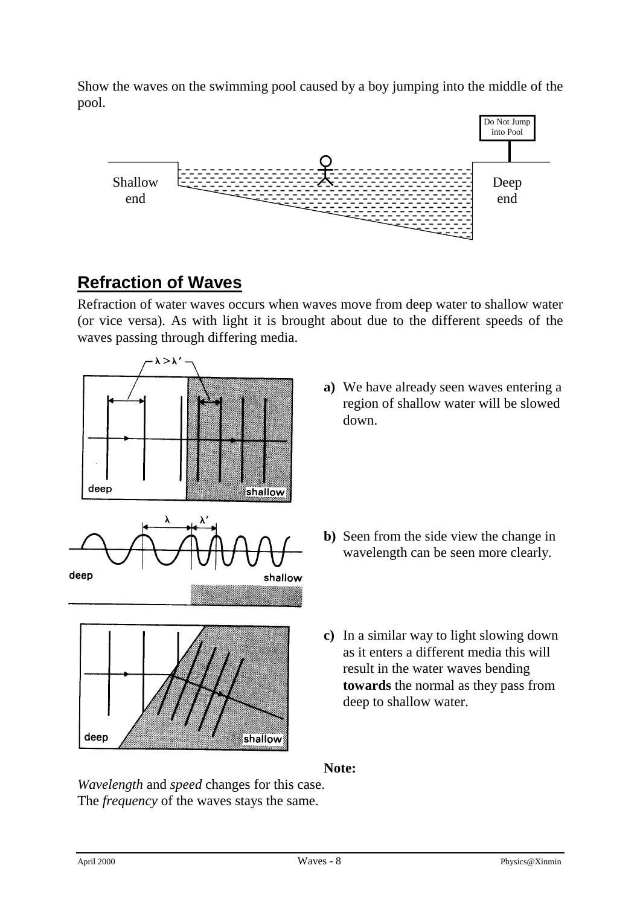Show the waves on the swimming pool caused by a boy jumping into the middle of the pool.



## **Refraction of Waves**

Refraction of water waves occurs when waves move from deep water to shallow water (or vice versa). As with light it is brought about due to the different speeds of the waves passing through differing media.



**a)** We have already seen waves entering a region of shallow water will be slowed down.

- **b)** Seen from the side view the change in wavelength can be seen more clearly.
- **c)** In a similar way to light slowing down as it enters a different media this will result in the water waves bending **towards** the normal as they pass from deep to shallow water.

**Note:**

*Wavelength* and *speed* changes for this case. The *frequency* of the waves stays the same.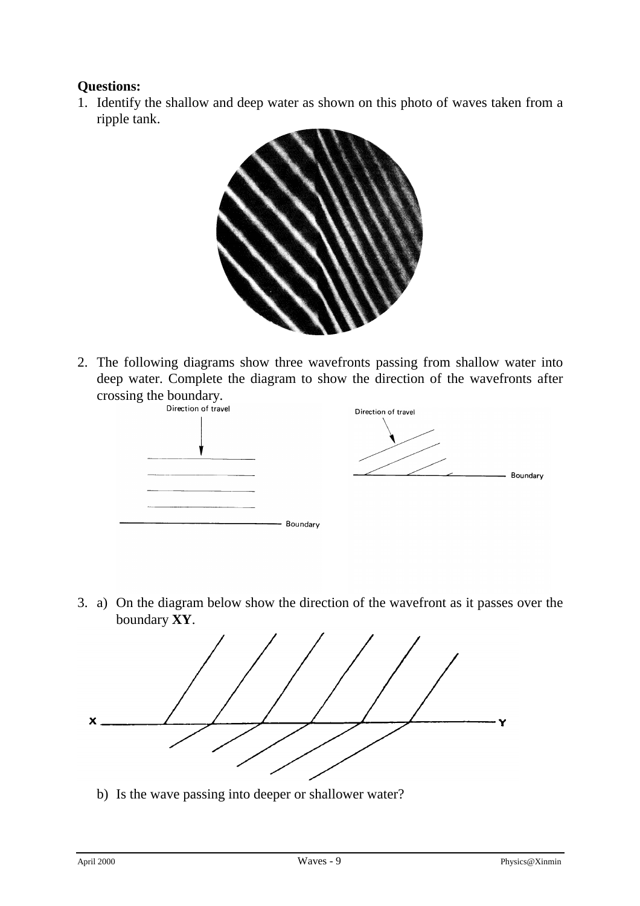### **Questions:**

1. Identify the shallow and deep water as shown on this photo of waves taken from a ripple tank.



2. The following diagrams show three wavefronts passing from shallow water into deep water. Complete the diagram to show the direction of the wavefronts after crossing the boundary.



3. a) On the diagram below show the direction of the wavefront as it passes over the boundary **XY**.



b) Is the wave passing into deeper or shallower water?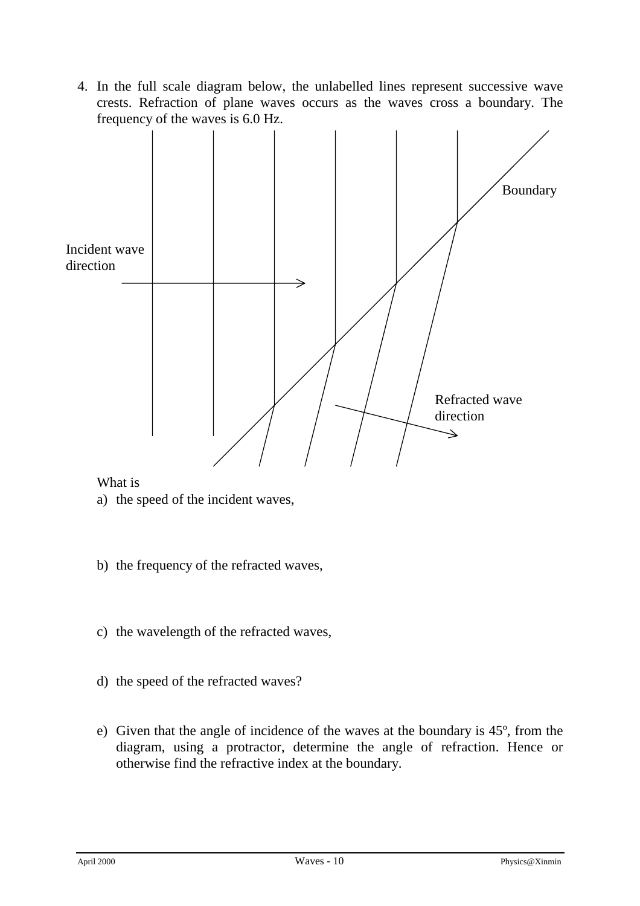4. In the full scale diagram below, the unlabelled lines represent successive wave crests. Refraction of plane waves occurs as the waves cross a boundary. The frequency of the waves is 6.0 Hz.



What is

- a) the speed of the incident waves,
- b) the frequency of the refracted waves,
- c) the wavelength of the refracted waves,
- d) the speed of the refracted waves?
- e) Given that the angle of incidence of the waves at the boundary is 45º, from the diagram, using a protractor, determine the angle of refraction. Hence or otherwise find the refractive index at the boundary.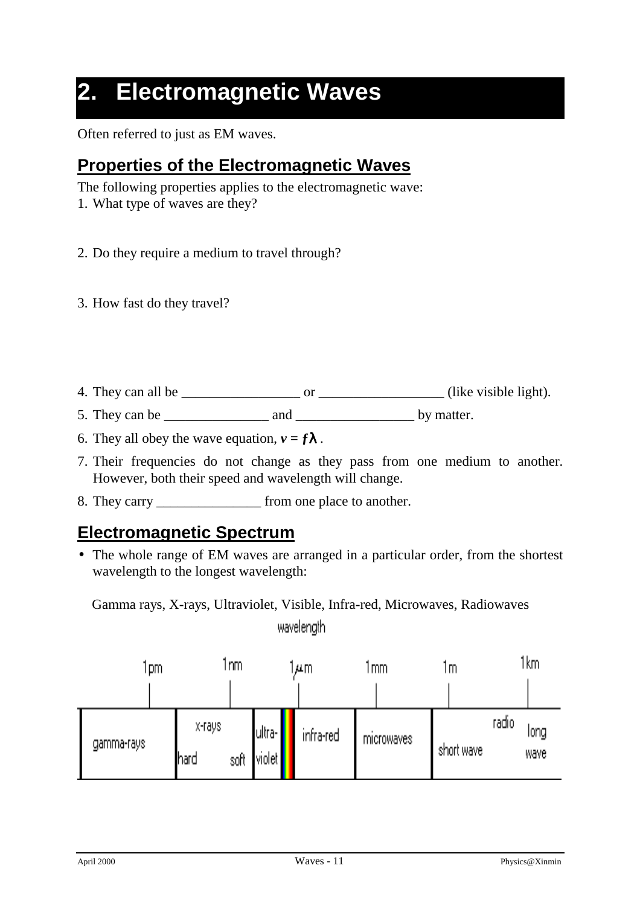# **2. Electromagnetic Waves**

Often referred to just as EM waves.

## **Properties of the Electromagnetic Waves**

The following properties applies to the electromagnetic wave:

- 1. What type of waves are they?
- 2. Do they require a medium to travel through?
- 3. How fast do they travel?
- 4. They can all be \_\_\_\_\_\_\_\_\_\_\_\_\_\_\_\_\_ or \_\_\_\_\_\_\_\_\_\_\_\_\_\_\_\_\_\_ (like visible light).
- 5. They can be \_\_\_\_\_\_\_\_\_\_\_\_\_\_\_ and \_\_\_\_\_\_\_\_\_\_\_\_\_\_\_\_\_ by matter.
- 6. They all obey the wave equation,  $v = f\lambda$ .
- 7. Their frequencies do not change as they pass from one medium to another. However, both their speed and wavelength will change.
- 8. They carry from one place to another.

### **Electromagnetic Spectrum**

• The whole range of EM waves are arranged in a particular order, from the shortest wavelength to the longest wavelength:

Gamma rays, X-rays, Ultraviolet, Visible, Infra-red, Microwaves, Radiowaveswavelength

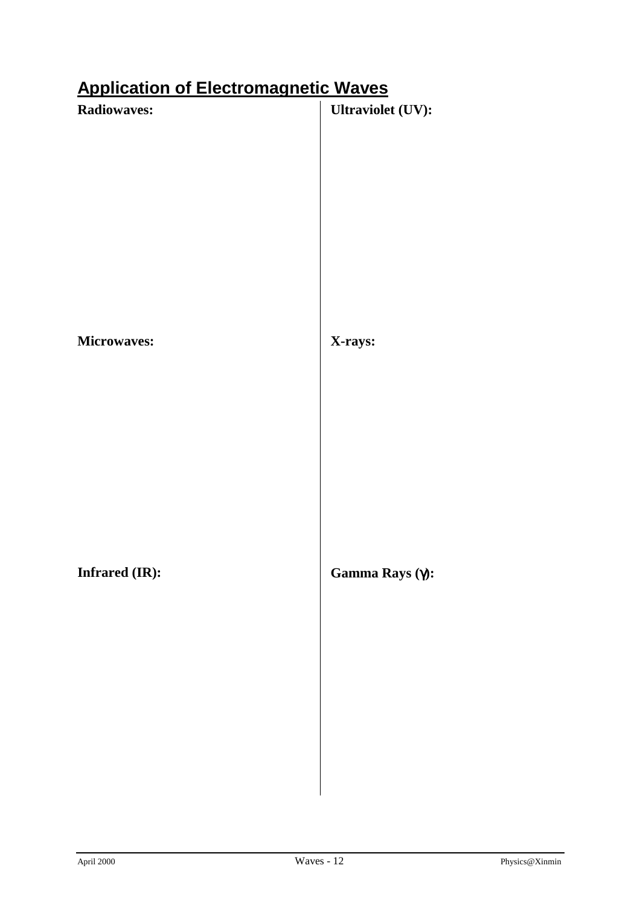## **Application of Electromagnetic Waves**

| <b>Radiowaves:</b>    | Ultraviolet (UV): |
|-----------------------|-------------------|
|                       |                   |
|                       |                   |
|                       |                   |
|                       |                   |
|                       |                   |
|                       |                   |
|                       |                   |
|                       |                   |
| Microwaves:           | X-rays:           |
|                       |                   |
|                       |                   |
|                       |                   |
|                       |                   |
|                       |                   |
|                       |                   |
|                       |                   |
|                       |                   |
| <b>Infrared (IR):</b> | Gamma Rays (γ):   |
|                       |                   |
|                       |                   |
|                       |                   |
|                       |                   |
|                       |                   |
|                       |                   |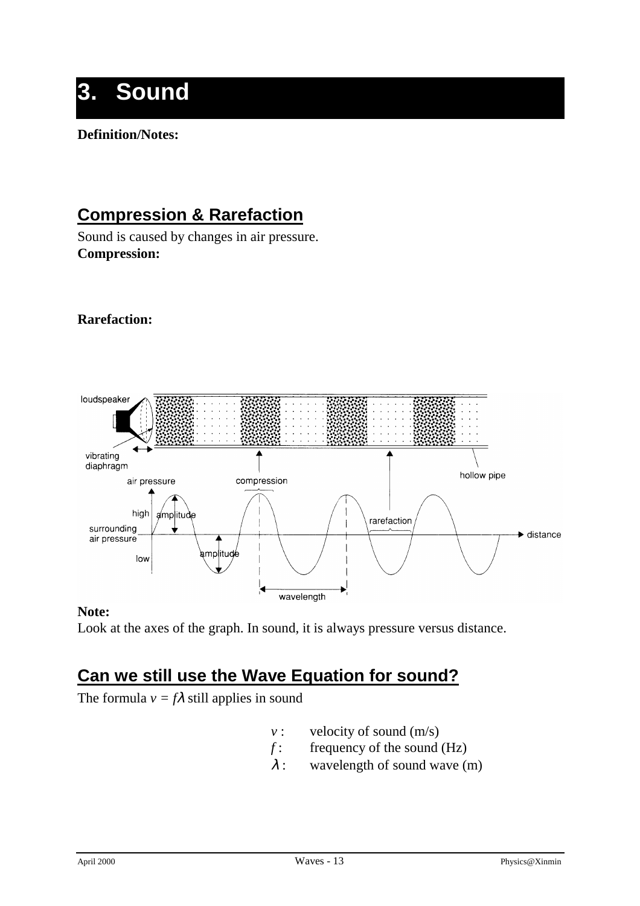# **3. Sound**

### **Definition/Notes:**

## **Compression & Rarefaction**

Sound is caused by changes in air pressure. **Compression:**

### **Rarefaction:**



### **Note:**

Look at the axes of the graph. In sound, it is always pressure versus distance.

## **Can we still use the Wave Equation for sound?**

The formula  $v = f\lambda$  still applies in sound

- *v* : velocity of sound (m/s)
- *f* : frequency of the sound (Hz)
- $\lambda$  : wavelength of sound wave (m)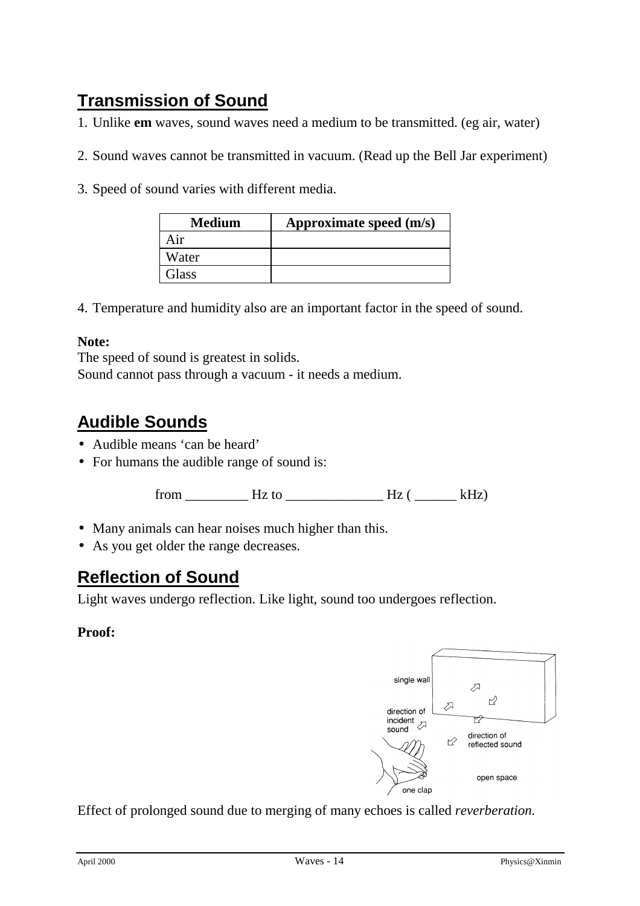## **Transmission of Sound**

1. Unlike **em** waves, sound waves need a medium to be transmitted. (eg air, water)

- 2. Sound waves cannot be transmitted in vacuum. (Read up the Bell Jar experiment)
- 3. Speed of sound varies with different media.

| <b>Medium</b> | Approximate speed (m/s) |
|---------------|-------------------------|
| Air           |                         |
| Water         |                         |
| Glass         |                         |

4. Temperature and humidity also are an important factor in the speed of sound.

#### **Note:**

The speed of sound is greatest in solids. Sound cannot pass through a vacuum - it needs a medium.

## **Audible Sounds**

- Audible means 'can be heard'
- For humans the audible range of sound is:

from \_\_\_\_\_\_\_\_\_ Hz to \_\_\_\_\_\_\_\_\_\_\_\_\_\_ Hz ( \_\_\_\_\_\_ kHz)

- Many animals can hear noises much higher than this.
- As you get older the range decreases.

## **Reflection of Sound**

Light waves undergo reflection. Like light, sound too undergoes reflection.

### **Proof:**



Effect of prolonged sound due to merging of many echoes is called *reverberation.*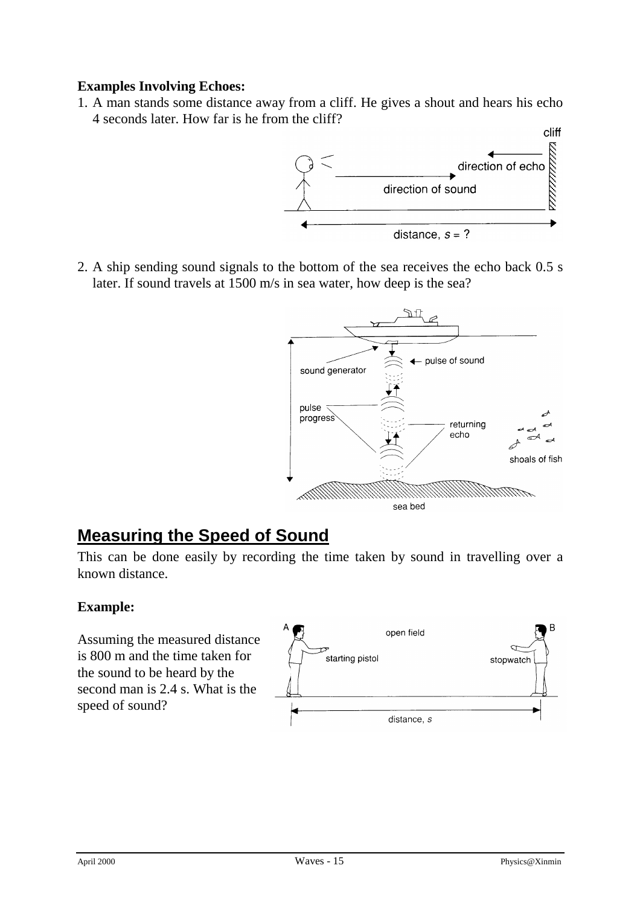### **Examples Involving Echoes:**

1. A man stands some distance away from a cliff. He gives a shout and hears his echo 4 seconds later. How far is he from the cliff?



2. A ship sending sound signals to the bottom of the sea receives the echo back 0.5 s later. If sound travels at 1500 m/s in sea water, how deep is the sea?



## **Measuring the Speed of Sound**

This can be done easily by recording the time taken by sound in travelling over a known distance.

### **Example:**

Assuming the measured distance is 800 m and the time taken for the sound to be heard by the second man is 2.4 s. What is the speed of sound?